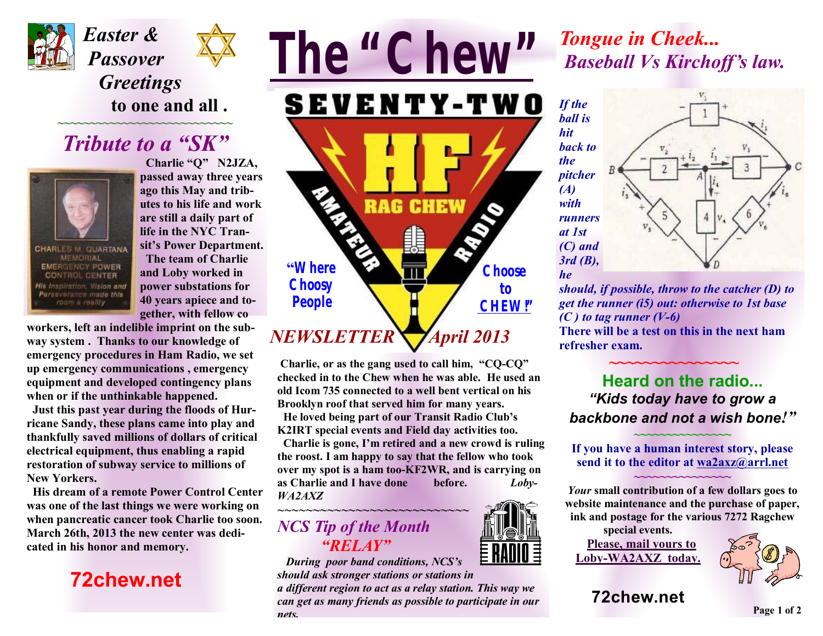



 *Greetings* **to one and all .** 

# *Tribute to a "SK"*

**~~~~~~~~~~~~~~~~~~~~~~~~~~~** 



**CHARLES M. OUARTANA MEMORIAL EMERGENCY POWER CONTROL CENTER** ration. Vision and Perseverance made this room a reality

 **Charlie "Q" N2JZA, passed away three years ago this May and tributes to his life and work are still a daily part of life in the NYC Transit's Power Department. The team of Charlie and Loby worked in power substations for 40 years apiece and together, with fellow co** 

**workers, left an indelible imprint on the subway system . Thanks to our knowledge of emergency procedures in Ham Radio, we set up emergency communications , emergency equipment and developed contingency plans when or if the unthinkable happened.** 

 **Just this past year during the floods of Hurricane Sandy, these plans came into play and thankfully saved millions of dollars of critical electrical equipment, thus enabling a rapid restoration of subway service to millions of New Yorkers.** 

 **His dream of a remote Power Control Center was one of the last things we were working on when pancreatic cancer took Charlie too soon. March 26th, 2013 the new center was dedicated in his honor and memory.** 

### **72chew.net**



**Charlie, or as the gang used to call him, "CQ-CQ" checked in to the Chew when he was able. He used an old Icom 735 connected to a well bent vertical on his Brooklyn roof that served him for many years.** 

 **He loved being part of our Transit Radio Club's K2IRT special events and Field day activities too.** 

 **Charlie is gone, I'm retired and a new crowd is ruling the roost. I am happy to say that the fellow who took over my spot is a ham too-KF2WR, and is carrying on as Charlie and I have done before.** *Loby-WA2AXZ* 

#### *~~~~~~~~~~~~~~~~~~~~~~~~~~~ NCS Tip of the Month "RELAY"*

*During poor band conditions, NCS's should ask stronger stations or stations in* 

*a different region to act as a relay station. This way we can get as many friends as possible to participate in our nets.*

# *Tongue in Cheek... Baseball Vs Kirchoff's law.*

*If the ball is hit back to the pitcher (A) with runners at 1st (C) and 3rd (B), he* 



*should, if possible, throw to the catcher (D) to get the runner (i5) out: otherwise to 1st base*   $(C)$  *to tag runner*  $(V-6)$ 

**There will be a test on this in the next ham refresher exam.** 

 **~~~~~~~~~~~~~~~** 

#### **Heard on the radio...**  *"Kids today have to grow a backbone and not a wish bone!"*

**If you have a human interest story, please send it to the editor at [wa2axz@arrl.net](mailto:wa2axz@arrl.net)**

**~~~~~~~~~~~~~~~** 

**~~~~~~~~~~~~~~~** 

*Your* **small contribution of a few dollars goes to website maintenance and the purchase of paper, ink and postage for the various 7272 Ragchew** 

**special events. Please, mail yours to Loby-WA2AXZ today.** 



**72chew.net**